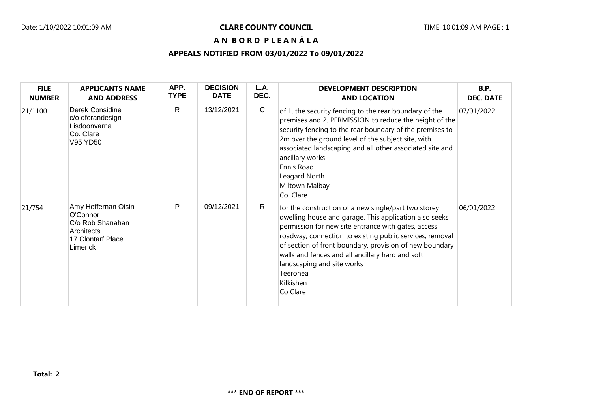## Date: 1/10/2022 10:01:09 AM **CLARE COUNTY COUNCIL** TIME: 10:01:09 AM PAGE : 1

**A N B O R D P L E A N Á L A**

## **APPEALS NOTIFIED FROM 03/01/2022 To 09/01/2022**

| <b>FILE</b><br><b>NUMBER</b> | <b>APPLICANTS NAME</b><br><b>AND ADDRESS</b>                                                       | APP.<br><b>TYPE</b> | <b>DECISION</b><br><b>DATE</b> | L.A.<br>DEC. | <b>DEVELOPMENT DESCRIPTION</b><br><b>AND LOCATION</b>                                                                                                                                                                                                                                                                                                                                                               | <b>B.P.</b><br><b>DEC. DATE</b> |
|------------------------------|----------------------------------------------------------------------------------------------------|---------------------|--------------------------------|--------------|---------------------------------------------------------------------------------------------------------------------------------------------------------------------------------------------------------------------------------------------------------------------------------------------------------------------------------------------------------------------------------------------------------------------|---------------------------------|
| 21/1100                      | Derek Considine<br>c/o dforandesign<br>Lisdoonvarna<br>Co. Clare<br>V95 YD50                       | $\mathsf{R}$        | 13/12/2021                     | $\mathsf{C}$ | of 1. the security fencing to the rear boundary of the<br>premises and 2. PERMISSION to reduce the height of the<br>security fencing to the rear boundary of the premises to<br>2m over the ground level of the subject site, with<br>associated landscaping and all other associated site and<br>ancillary works<br>Ennis Road<br>Leagard North<br>Miltown Malbay<br>Co. Clare                                     | 07/01/2022                      |
| 21/754                       | Amy Heffernan Oisin<br>O'Connor<br>C/o Rob Shanahan<br>Architects<br>17 Clontarf Place<br>Limerick | P                   | 09/12/2021                     | R            | for the construction of a new single/part two storey<br>dwelling house and garage. This application also seeks<br>permission for new site entrance with gates, access<br>roadway, connection to existing public services, removal<br>of section of front boundary, provision of new boundary<br>walls and fences and all ancillary hard and soft<br>landscaping and site works<br>Teeronea<br>Kilkishen<br>Co Clare | 06/01/2022                      |